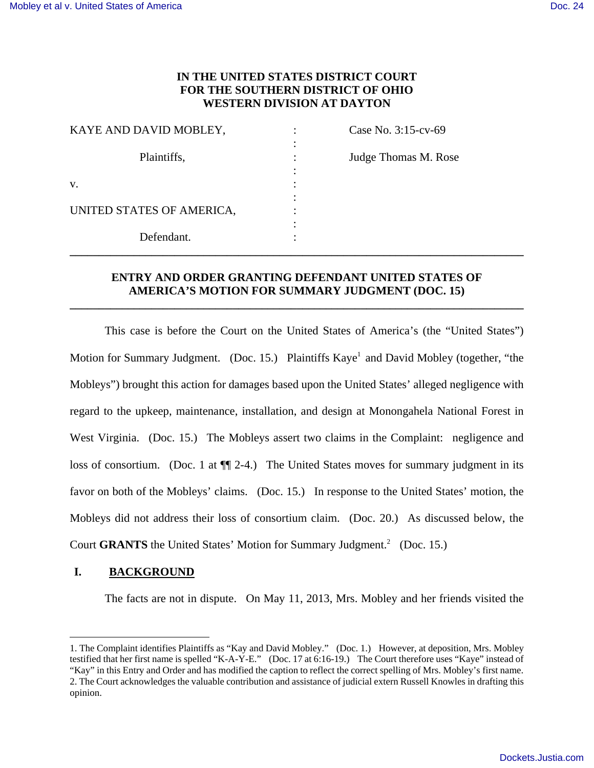# **IN THE UNITED STATES DISTRICT COURT FOR THE SOUTHERN DISTRICT OF OHIO WESTERN DIVISION AT DAYTON**

| KAYE AND DAVID MOBLEY,    | Case No. 3:15-cv-69  |
|---------------------------|----------------------|
| Plaintiffs,               | Judge Thomas M. Rose |
| V.                        |                      |
|                           |                      |
| UNITED STATES OF AMERICA, |                      |
|                           |                      |
| Defendant.                |                      |

# **ENTRY AND ORDER GRANTING DEFENDANT UNITED STATES OF AMERICA'S MOTION FOR SUMMARY JUDGMENT (DOC. 15)**

**\_\_\_\_\_\_\_\_\_\_\_\_\_\_\_\_\_\_\_\_\_\_\_\_\_\_\_\_\_\_\_\_\_\_\_\_\_\_\_\_\_\_\_\_\_\_\_\_\_\_\_\_\_\_\_\_\_\_\_\_\_\_\_\_\_\_\_\_\_\_\_\_\_\_\_\_\_\_** 

This case is before the Court on the United States of America's (the "United States") Motion for Summary Judgment. (Doc. 15.) Plaintiffs Kaye<sup>1</sup> and David Mobley (together, "the Mobleys") brought this action for damages based upon the United States' alleged negligence with regard to the upkeep, maintenance, installation, and design at Monongahela National Forest in West Virginia. (Doc. 15.) The Mobleys assert two claims in the Complaint: negligence and loss of consortium. (Doc. 1 at  $\P$  2-4.) The United States moves for summary judgment in its favor on both of the Mobleys' claims. (Doc. 15.) In response to the United States' motion, the Mobleys did not address their loss of consortium claim. (Doc. 20.) As discussed below, the Court GRANTS the United States' Motion for Summary Judgment.<sup>2</sup> (Doc. 15.)

## **I. BACKGROUND**

 $\overline{a}$ 

The facts are not in dispute. On May 11, 2013, Mrs. Mobley and her friends visited the

<sup>1.</sup> The Complaint identifies Plaintiffs as "Kay and David Mobley." (Doc. 1.) However, at deposition, Mrs. Mobley testified that her first name is spelled "K-A-Y-E." (Doc. 17 at 6:16-19.) The Court therefore uses "Kaye" instead of "Kay" in this Entry and Order and has modified the caption to reflect the correct spelling of Mrs. Mobley's first name. 2. The Court acknowledges the valuable contribution and assistance of judicial extern Russell Knowles in drafting this opinion.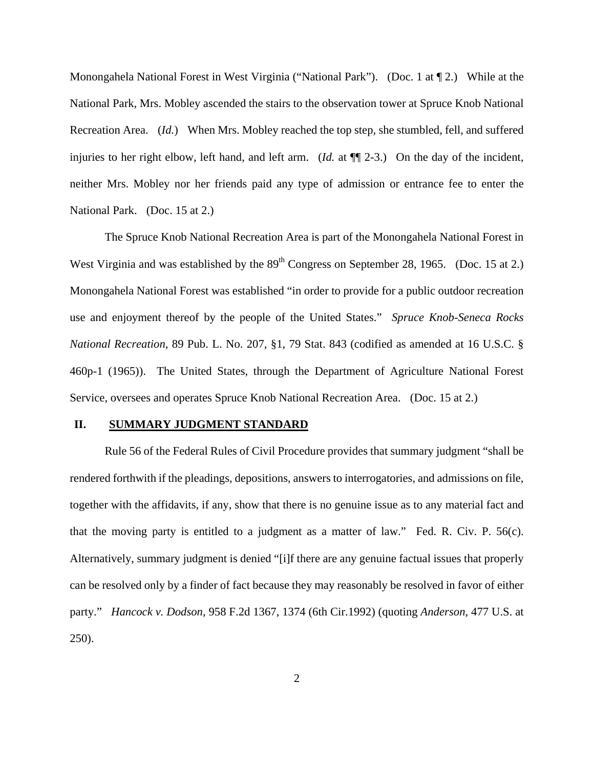Monongahela National Forest in West Virginia ("National Park"). (Doc. 1 at ¶ 2.) While at the National Park, Mrs. Mobley ascended the stairs to the observation tower at Spruce Knob National Recreation Area. (*Id.*) When Mrs. Mobley reached the top step, she stumbled, fell, and suffered injuries to her right elbow, left hand, and left arm. (*Id.* at ¶¶ 2-3.) On the day of the incident, neither Mrs. Mobley nor her friends paid any type of admission or entrance fee to enter the National Park. (Doc. 15 at 2.)

 The Spruce Knob National Recreation Area is part of the Monongahela National Forest in West Virginia and was established by the  $89<sup>th</sup>$  Congress on September 28, 1965. (Doc. 15 at 2.) Monongahela National Forest was established "in order to provide for a public outdoor recreation use and enjoyment thereof by the people of the United States." *Spruce Knob-Seneca Rocks National Recreation*, 89 Pub. L. No. 207, §1, 79 Stat. 843 (codified as amended at 16 U.S.C. § 460p-1 (1965)). The United States, through the Department of Agriculture National Forest Service, oversees and operates Spruce Knob National Recreation Area. (Doc. 15 at 2.)

#### **II. SUMMARY JUDGMENT STANDARD**

Rule 56 of the Federal Rules of Civil Procedure provides that summary judgment "shall be rendered forthwith if the pleadings, depositions, answers to interrogatories, and admissions on file, together with the affidavits, if any, show that there is no genuine issue as to any material fact and that the moving party is entitled to a judgment as a matter of law." Fed. R. Civ. P. 56(c). Alternatively, summary judgment is denied "[i]f there are any genuine factual issues that properly can be resolved only by a finder of fact because they may reasonably be resolved in favor of either party." *Hancock v. Dodson*, 958 F.2d 1367, 1374 (6th Cir.1992) (quoting *Anderson*, 477 U.S. at 250).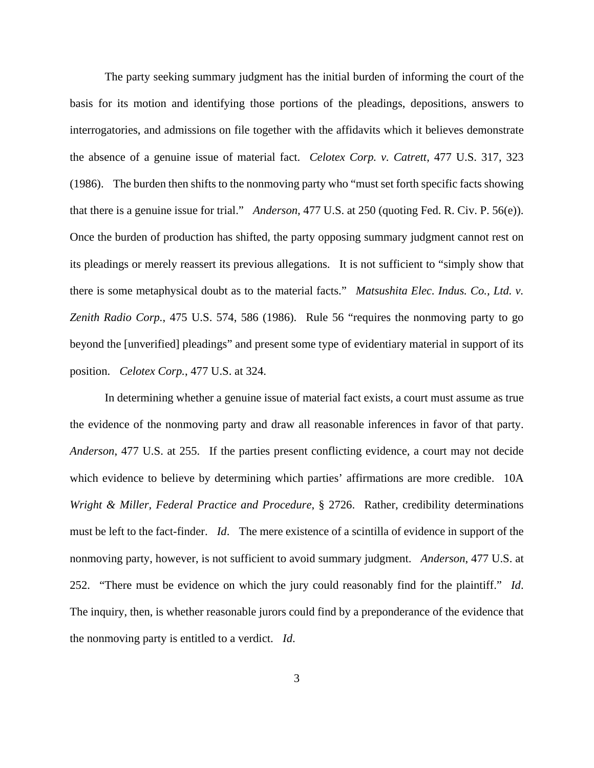The party seeking summary judgment has the initial burden of informing the court of the basis for its motion and identifying those portions of the pleadings, depositions, answers to interrogatories, and admissions on file together with the affidavits which it believes demonstrate the absence of a genuine issue of material fact. *Celotex Corp. v. Catrett*, 477 U.S. 317, 323 (1986). The burden then shifts to the nonmoving party who "must set forth specific facts showing that there is a genuine issue for trial." *Anderson*, 477 U.S. at 250 (quoting Fed. R. Civ. P. 56(e)). Once the burden of production has shifted, the party opposing summary judgment cannot rest on its pleadings or merely reassert its previous allegations. It is not sufficient to "simply show that there is some metaphysical doubt as to the material facts." *Matsushita Elec. Indus. Co., Ltd. v. Zenith Radio Corp.*, 475 U.S. 574, 586 (1986). Rule 56 "requires the nonmoving party to go beyond the [unverified] pleadings" and present some type of evidentiary material in support of its position. *Celotex Corp.*, 477 U.S. at 324.

In determining whether a genuine issue of material fact exists, a court must assume as true the evidence of the nonmoving party and draw all reasonable inferences in favor of that party. *Anderson*, 477 U.S. at 255. If the parties present conflicting evidence, a court may not decide which evidence to believe by determining which parties' affirmations are more credible. 10A *Wright & Miller, Federal Practice and Procedure*, § 2726. Rather, credibility determinations must be left to the fact-finder. *Id*. The mere existence of a scintilla of evidence in support of the nonmoving party, however, is not sufficient to avoid summary judgment. *Anderson*, 477 U.S. at 252. "There must be evidence on which the jury could reasonably find for the plaintiff." *Id*. The inquiry, then, is whether reasonable jurors could find by a preponderance of the evidence that the nonmoving party is entitled to a verdict. *Id*.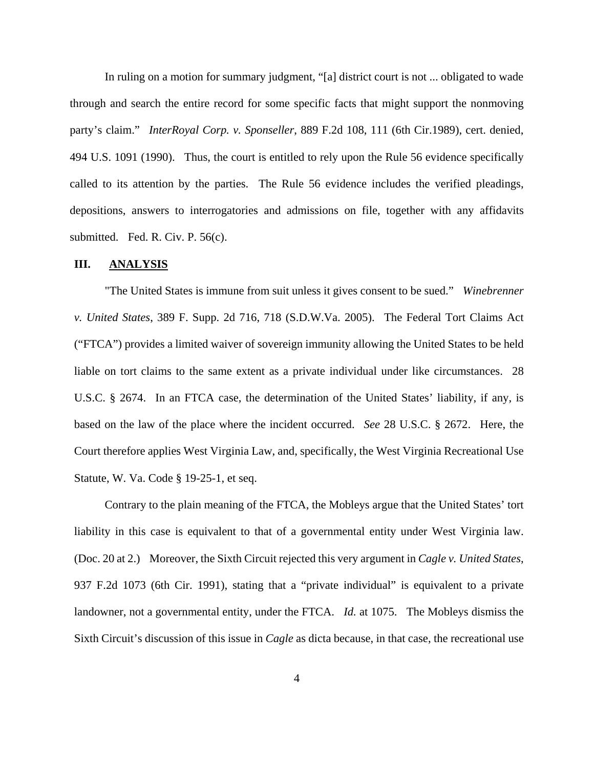In ruling on a motion for summary judgment, "[a] district court is not ... obligated to wade through and search the entire record for some specific facts that might support the nonmoving party's claim." *InterRoyal Corp. v. Sponseller*, 889 F.2d 108, 111 (6th Cir.1989), cert. denied, 494 U.S. 1091 (1990). Thus, the court is entitled to rely upon the Rule 56 evidence specifically called to its attention by the parties. The Rule 56 evidence includes the verified pleadings, depositions, answers to interrogatories and admissions on file, together with any affidavits submitted. Fed. R. Civ. P. 56(c).

## **III. ANALYSIS**

 "The United States is immune from suit unless it gives consent to be sued." *Winebrenner v. United States*, 389 F. Supp. 2d 716, 718 (S.D.W.Va. 2005). The Federal Tort Claims Act ("FTCA") provides a limited waiver of sovereign immunity allowing the United States to be held liable on tort claims to the same extent as a private individual under like circumstances. 28 U.S.C. § 2674. In an FTCA case, the determination of the United States' liability, if any, is based on the law of the place where the incident occurred. *See* 28 U.S.C. § 2672. Here, the Court therefore applies West Virginia Law, and, specifically, the West Virginia Recreational Use Statute, W. Va. Code § 19-25-1, et seq.

 Contrary to the plain meaning of the FTCA, the Mobleys argue that the United States' tort liability in this case is equivalent to that of a governmental entity under West Virginia law. (Doc. 20 at 2.) Moreover, the Sixth Circuit rejected this very argument in *Cagle v. United States*, 937 F.2d 1073 (6th Cir. 1991), stating that a "private individual" is equivalent to a private landowner, not a governmental entity, under the FTCA. *Id.* at 1075. The Mobleys dismiss the Sixth Circuit's discussion of this issue in *Cagle* as dicta because, in that case, the recreational use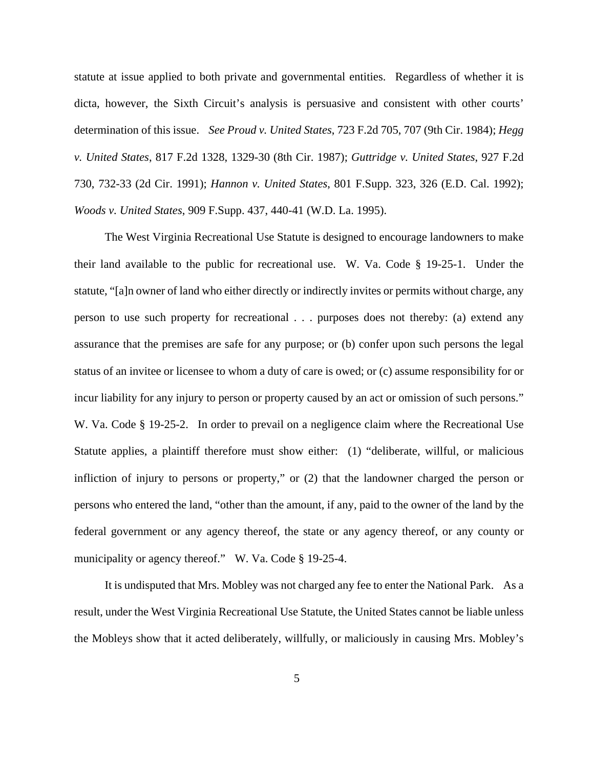statute at issue applied to both private and governmental entities. Regardless of whether it is dicta, however, the Sixth Circuit's analysis is persuasive and consistent with other courts' determination of this issue. *See Proud v. United States*, 723 F.2d 705, 707 (9th Cir. 1984); *Hegg v. United States*, 817 F.2d 1328, 1329-30 (8th Cir. 1987); *Guttridge v. United States*, 927 F.2d 730, 732-33 (2d Cir. 1991); *Hannon v. United States*, 801 F.Supp. 323, 326 (E.D. Cal. 1992); *Woods v. United States*, 909 F.Supp. 437, 440-41 (W.D. La. 1995).

 The West Virginia Recreational Use Statute is designed to encourage landowners to make their land available to the public for recreational use. W. Va. Code § 19-25-1. Under the statute, "[a]n owner of land who either directly or indirectly invites or permits without charge, any person to use such property for recreational . . . purposes does not thereby: (a) extend any assurance that the premises are safe for any purpose; or (b) confer upon such persons the legal status of an invitee or licensee to whom a duty of care is owed; or (c) assume responsibility for or incur liability for any injury to person or property caused by an act or omission of such persons." W. Va. Code § 19-25-2. In order to prevail on a negligence claim where the Recreational Use Statute applies, a plaintiff therefore must show either: (1) "deliberate, willful, or malicious infliction of injury to persons or property," or (2) that the landowner charged the person or persons who entered the land, "other than the amount, if any, paid to the owner of the land by the federal government or any agency thereof, the state or any agency thereof, or any county or municipality or agency thereof." W. Va. Code § 19-25-4.

 It is undisputed that Mrs. Mobley was not charged any fee to enter the National Park. As a result, under the West Virginia Recreational Use Statute, the United States cannot be liable unless the Mobleys show that it acted deliberately, willfully, or maliciously in causing Mrs. Mobley's